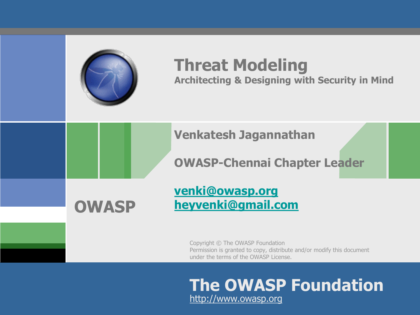

### **Threat Modeling**

**Architecting & Designing with Security in Mind**

#### **Venkatesh Jagannathan**

#### **OWASP-Chennai Chapter Leader**

## **OWASP**

#### **[venki@owasp.org](mailto:venki@owasp.org) [heyvenki@gmail.com](mailto:dave.wichers@owasp.org)**

Copyright © The OWASP Foundation Permission is granted to copy, distribute and/or modify this document under the terms of the OWASP License.

#### **The OWASP Foundation** http://www.owasp.org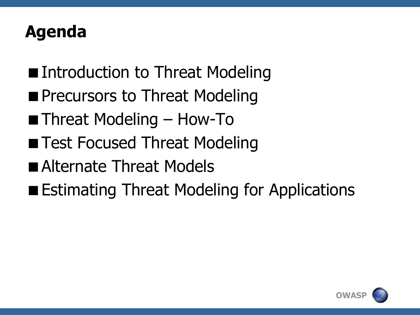#### **Agenda**

- Introduction to Threat Modeling
- **Precursors to Threat Modeling**
- Threat Modeling How-To
- **Test Focused Threat Modeling**
- **Alternate Threat Models**
- **Estimating Threat Modeling for Applications**

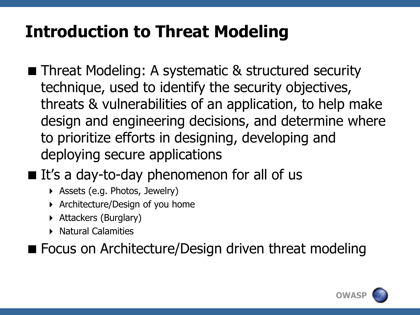#### **Introduction to Threat Modeling**

- **Threat Modeling: A systematic & structured security** technique, used to identify the security objectives, threats & vulnerabilities of an application, to help make design and engineering decisions, and determine where to prioritize efforts in designing, developing and deploying secure applications
- $\blacksquare$  It's a day-to-day phenomenon for all of us
	- Assets (e.g. Photos, Jewelry)
	- Architecture/Design of you home
	- Attackers (Burglary)
	- **Natural Calamities**

■ Focus on Architecture/Design driven threat modeling

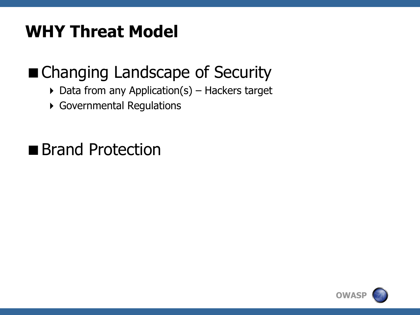#### **WHY Threat Model**

### ■ Changing Landscape of Security

- $\triangleright$  Data from any Application(s) Hackers target
- Governmental Regulations

■ Brand Protection

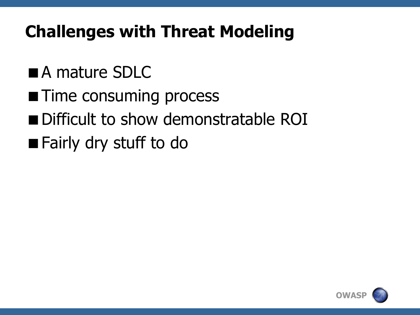### **Challenges with Threat Modeling**

- **A** mature SDLC
- **Time consuming process**
- Difficult to show demonstratable ROI
- **Fairly dry stuff to do**

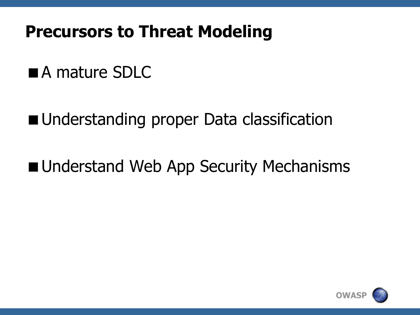#### **Precursors to Threat Modeling**

#### **A** mature SDLC

■ Understanding proper Data classification

**Understand Web App Security Mechanisms** 

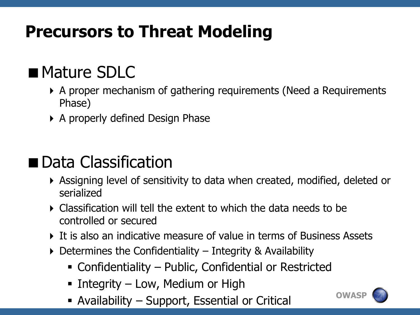### **Precursors to Threat Modeling**

#### **Mature SDLC**

- A proper mechanism of gathering requirements (Need a Requirements Phase)
- A properly defined Design Phase

#### Data Classification

- Assigning level of sensitivity to data when created, modified, deleted or serialized
- Classification will tell the extent to which the data needs to be controlled or secured
- It is also an indicative measure of value in terms of Business Assets
- $\triangleright$  Determines the Confidentiality Integrity & Availability
	- Confidentiality Public, Confidential or Restricted
	- Integrity Low, Medium or High
	- Availability Support, Essential or Critical

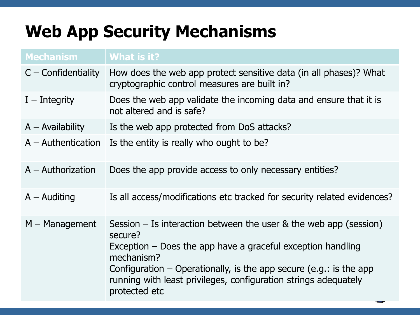### **Web App Security Mechanisms**

| <b>Mechanism</b>      | What is it?                                                                                                                                                                                                                                                                                                              |  |
|-----------------------|--------------------------------------------------------------------------------------------------------------------------------------------------------------------------------------------------------------------------------------------------------------------------------------------------------------------------|--|
| $C$ – Confidentiality | How does the web app protect sensitive data (in all phases)? What<br>cryptographic control measures are built in?                                                                                                                                                                                                        |  |
| $I$ – Integrity       | Does the web app validate the incoming data and ensure that it is<br>not altered and is safe?                                                                                                                                                                                                                            |  |
| $A -$ Availability    | Is the web app protected from DoS attacks?                                                                                                                                                                                                                                                                               |  |
| $A -$ Authentication  | Is the entity is really who ought to be?                                                                                                                                                                                                                                                                                 |  |
| $A -$ Authorization   | Does the app provide access to only necessary entities?                                                                                                                                                                                                                                                                  |  |
| $A -$ Auditing        | Is all access/modifications etc tracked for security related evidences?                                                                                                                                                                                                                                                  |  |
| $M -$ Management      | Session – Is interaction between the user $\&$ the web app (session)<br>secure?<br>Exception $-$ Does the app have a graceful exception handling<br>mechanism?<br>Configuration – Operationally, is the app secure (e.g.: is the app<br>running with least privileges, configuration strings adequately<br>protected etc |  |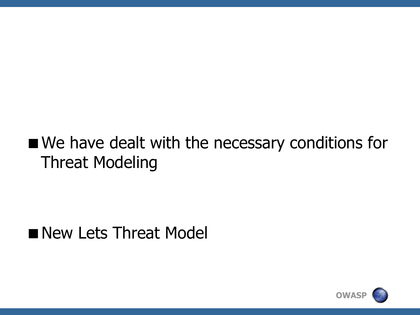#### We have dealt with the necessary conditions for Threat Modeling

#### New Lets Threat Model

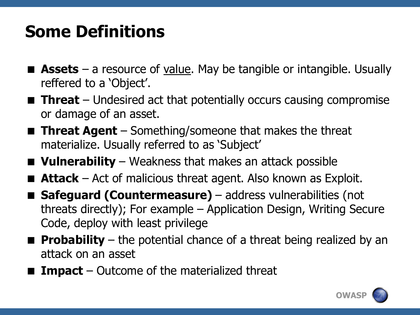#### **Some Definitions**

- **Assets** a resource of <u>value</u>. May be tangible or intangible. Usually reffered to a 'Object'.
- **Threat** Undesired act that potentially occurs causing compromise or damage of an asset.
- Threat Agent Something/someone that makes the threat materialize. Usually referred to as 'Subject'
- **Vulnerability** Weakness that makes an attack possible
- **Attack** Act of malicious threat agent. Also known as Exploit.
- Safeguard (Countermeasure) address vulnerabilities (not threats directly); For example – Application Design, Writing Secure Code, deploy with least privilege
- **Probability** the potential chance of a threat being realized by an attack on an asset
- **Impact** Outcome of the materialized threat

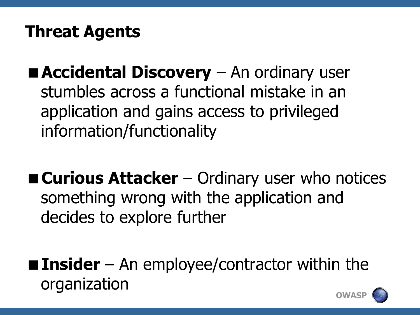### **Threat Agents**

**Accidental Discovery** – An ordinary user stumbles across a functional mistake in an application and gains access to privileged information/functionality

■ **Curious Attacker** – Ordinary user who notices something wrong with the application and decides to explore further

**Insider** – An employee/contractor within the organization

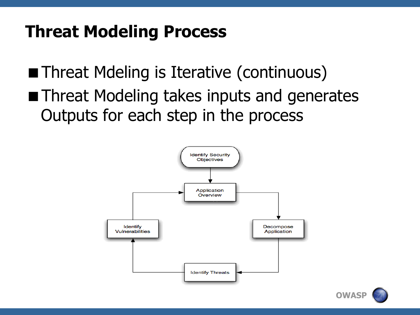**Threat Mdeling is Iterative (continuous)** 

**Threat Modeling takes inputs and generates** Outputs for each step in the process



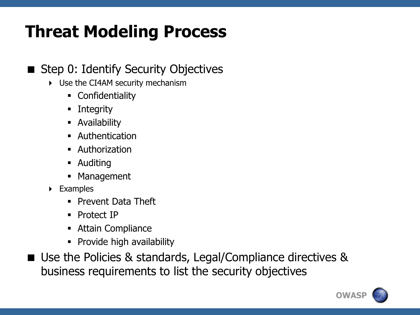#### ■ Step 0: Identify Security Objectives

- Use the CI4AM security mechanism
	- Confidentiality
	- **-** Integrity
	- **Availability**
	- Authentication
	- Authorization
	- **-** Auditing
	- **Management**
- Examples
	- **Prevent Data Theft**
	- Protect IP
	- **-** Attain Compliance
	- Provide high availability
- Use the Policies & standards, Legal/Compliance directives & business requirements to list the security objectives

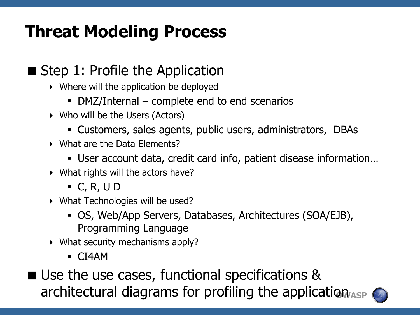#### $\blacksquare$  Step 1: Profile the Application

- Where will the application be deployed
	- DMZ/Internal complete end to end scenarios
- Who will be the Users (Actors)
	- Customers, sales agents, public users, administrators, DBAs
- What are the Data Elements?
	- User account data, credit card info, patient disease information…
- What rights will the actors have?
	- $\blacksquare$  C, R, U D
- What Technologies will be used?
	- OS, Web/App Servers, Databases, Architectures (SOA/EJB), Programming Language
- What security mechanisms apply?
	- CI4AM
- architectural diagrams for profiling the application<sub>ASP</sub> ■ Use the use cases, functional specifications &

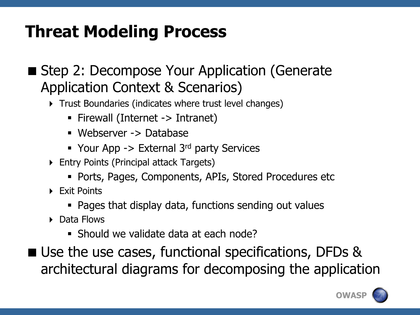- Step 2: Decompose Your Application (Generate Application Context & Scenarios)
	- **Trust Boundaries (indicates where trust level changes)** 
		- Firewall (Internet -> Intranet)
		- Webserver -> Database
		- Your App  $\rightarrow$  External 3<sup>rd</sup> party Services
	- Entry Points (Principal attack Targets)
		- Ports, Pages, Components, APIs, Stored Procedures etc
	- **Fxit Points** 
		- Pages that display data, functions sending out values
	- ▶ Data Flows
		- Should we validate data at each node?
- Use the use cases, functional specifications, DFDs & architectural diagrams for decomposing the application

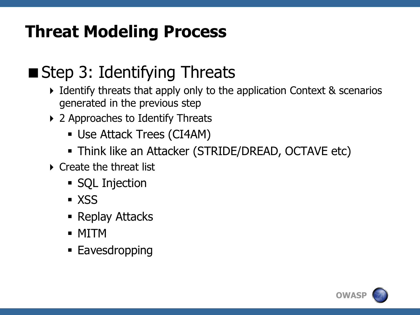### ■ Step 3: Identifying Threats

- $\triangleright$  Identify threats that apply only to the application Context & scenarios generated in the previous step
- ▶ 2 Approaches to Identify Threats
	- Use Attack Trees (CI4AM)
	- Think like an Attacker (STRIDE/DREAD, OCTAVE etc)
- ▶ Create the threat list
	- SQL Injection
	- **x** XSS
	- Replay Attacks
	- MITM
	- **Eavesdropping**

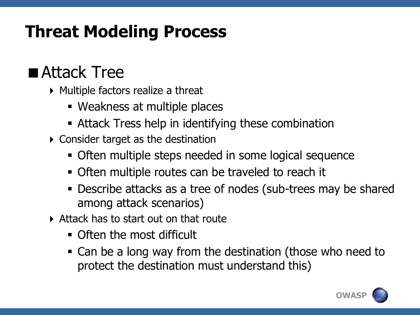#### ■ Attack Tree

- $\triangleright$  Multiple factors realize a threat
	- Weakness at multiple places
	- Attack Tress help in identifying these combination
- Consider target as the destination
	- Often multiple steps needed in some logical sequence
	- Often multiple routes can be traveled to reach it
	- Describe attacks as a tree of nodes (sub-trees may be shared among attack scenarios)
- Attack has to start out on that route
	- Often the most difficult
	- Can be a long way from the destination (those who need to protect the destination must understand this)

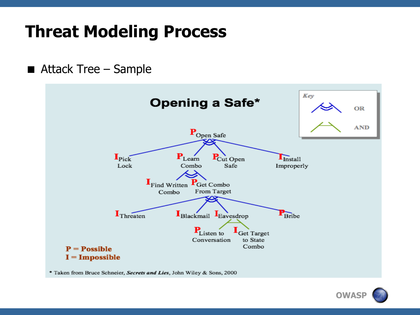■ Attack Tree – Sample



\* Taken from Bruce Schneier, Secrets and Lies, John Wiley & Sons, 2000

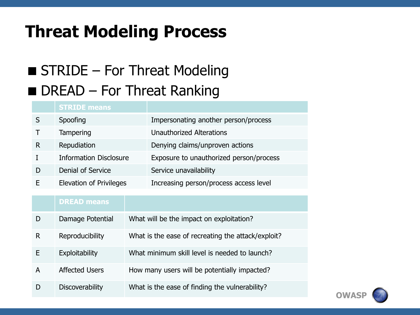#### ■ STRIDE – For Threat Modeling  $\blacksquare$  DREAD – For Threat Ranking

#### **STRIDE means** S Spoofing Impersonating another person/process T Tampering Unauthorized Alterations R Repudiation Denying claims/unproven actions I Information Disclosure Exposure to unauthorized person/process D Denial of Service Service unavailability E Elevation of Privileges Increasing person/process access level

#### **DREAD means**

|   | Damage Potential       | What will be the impact on exploitation?           |
|---|------------------------|----------------------------------------------------|
| R | Reproducibility        | What is the ease of recreating the attack/exploit? |
| F | Exploitability         | What minimum skill level is needed to launch?      |
| А | <b>Affected Users</b>  | How many users will be potentially impacted?       |
|   | <b>Discoverability</b> | What is the ease of finding the vulnerability?     |

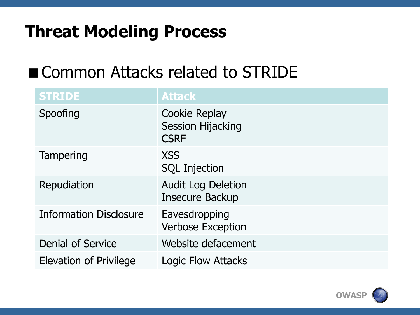#### ■ Common Attacks related to STRIDE

| <b>STRIDE</b>                 | <b>Attack</b>                                                   |
|-------------------------------|-----------------------------------------------------------------|
| Spoofing                      | <b>Cookie Replay</b><br><b>Session Hijacking</b><br><b>CSRF</b> |
| Tampering                     | <b>XSS</b><br><b>SQL Injection</b>                              |
| Repudiation                   | <b>Audit Log Deletion</b><br><b>Insecure Backup</b>             |
| <b>Information Disclosure</b> | Eavesdropping<br><b>Verbose Exception</b>                       |
| <b>Denial of Service</b>      | Website defacement                                              |
| <b>Elevation of Privilege</b> | <b>Logic Flow Attacks</b>                                       |

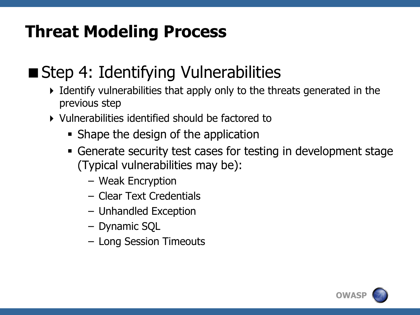#### ■ Step 4: Identifying Vulnerabilities

- Identify vulnerabilities that apply only to the threats generated in the previous step
- Vulnerabilities identified should be factored to
	- Shape the design of the application
	- Generate security test cases for testing in development stage (Typical vulnerabilities may be):
		- Weak Encryption
		- Clear Text Credentials
		- Unhandled Exception
		- Dynamic SQL
		- Long Session Timeouts

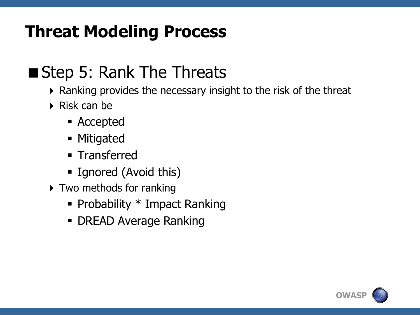#### ■ Step 5: Rank The Threats

- Ranking provides the necessary insight to the risk of the threat
- $\triangleright$  Risk can be
	- Accepted
	- **Mitigated**
	- **Transferred**
	- **Ignored (Avoid this)**
- ▶ Two methods for ranking
	- Probability  $*$  Impact Ranking
	- **DREAD Average Ranking**

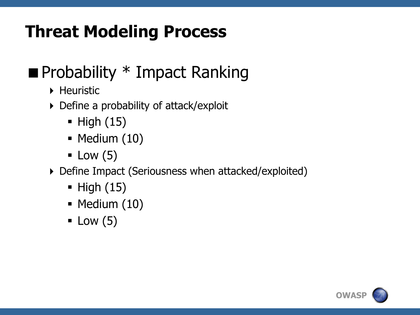### $\blacksquare$  Probability  $*$  Impact Ranking

- **Heuristic**
- Define a probability of attack/exploit
	- $\blacksquare$  High  $(15)$
	- $\blacksquare$  Medium  $(10)$
	- $\blacksquare$  Low (5)
- Define Impact (Seriousness when attacked/exploited)
	- $\blacksquare$  High  $(15)$
	- $\blacksquare$  Medium  $(10)$
	- $\blacksquare$  Low (5)

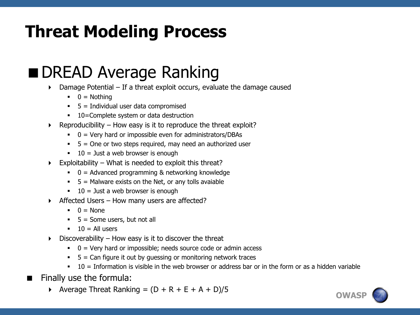#### ■ DREAD Average Ranking

- Damage Potential If a threat exploit occurs, evaluate the damage caused
	- $\bullet$  0 = Nothing
	- $\blacksquare$  5 = Individual user data compromised
	- 10=Complete system or data destruction
- $\triangleright$  Reproducibility How easy is it to reproduce the threat exploit?
	- $\bullet$  0 = Very hard or impossible even for administrators/DBAs
	- $\blacksquare$  5 = One or two steps required, may need an authorized user
	- $10 =$  Just a web browser is enough
- $\triangleright$  Exploitability What is needed to exploit this threat?
	- $\bullet$  0 = Advanced programming & networking knowledge
	- $\overline{5}$  = Malware exists on the Net, or any tolls avaiable
	- $10 =$  Just a web browser is enough
- $\triangleright$  Affected Users How many users are affected?
	- $\bullet$  0 = None
	- $5 =$  Some users, but not all
	- $10 = All users$
- $\triangleright$  Discoverability How easy is it to discover the threat
	- $\bullet$  0 = Very hard or impossible; needs source code or admin access
	- $\overline{5}$  = Can figure it out by guessing or monitoring network traces
	- $10 =$  Information is visible in the web browser or address bar or in the form or as a hidden variable
- $\blacksquare$  Finally use the formula:
	- Average Threat Ranking =  $(D + R + E + A + D)/5$

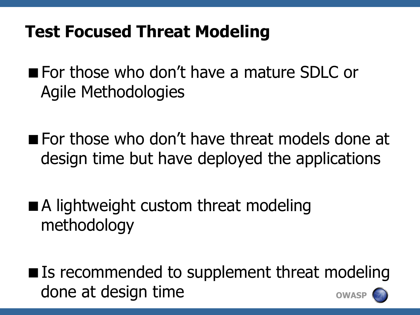#### **Test Focused Threat Modeling**

- **For those who don't have a mature SDLC or** Agile Methodologies
- **For those who don't have threat models done at** design time but have deployed the applications
- A lightweight custom threat modeling methodology
- **OWASP** ■ Is recommended to supplement threat modeling done at design time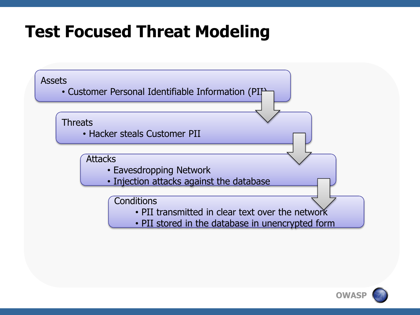#### **Test Focused Threat Modeling**



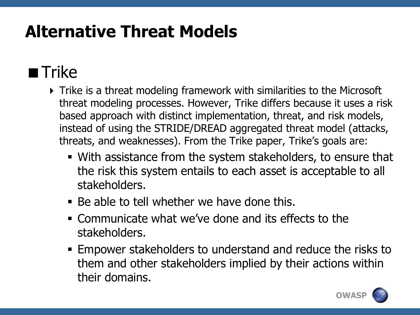### $\blacksquare$  Trike

- Trike is a threat modeling framework with similarities to the Microsoft threat modeling processes. However, Trike differs because it uses a risk based approach with distinct implementation, threat, and risk models, instead of using the STRIDE/DREAD aggregated threat model (attacks, threats, and weaknesses). From the Trike paper, Trike's goals are:
	- With assistance from the system stakeholders, to ensure that the risk this system entails to each asset is acceptable to all stakeholders.
	- Be able to tell whether we have done this.
	- Communicate what we've done and its effects to the stakeholders.
	- Empower stakeholders to understand and reduce the risks to them and other stakeholders implied by their actions within their domains.

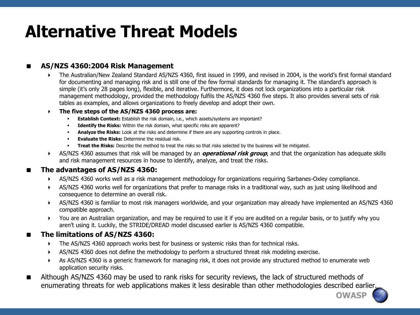#### **AS/NZS 4360:2004 Risk Management**

- The Australian/New Zealand Standard AS/NZS 4360, first issued in 1999, and revised in 2004, is the world's first formal standard for documenting and managing risk and is still one of the few formal standards for managing it. The standard's approach is simple (it's only 28 pages long), flexible, and iterative. Furthermore, it does not lock organizations into a particular risk management methodology, provided the methodology fulfils the AS/NZS 4360 five steps. It also provides several sets of risk tables as examples, and allows organizations to freely develop and adopt their own.
- **The five steps of the AS/NZS 4360 process are:**
	- **Establish Context:** Establish the risk domain, i.e., which assets/systems are important?
	- **Identify the Risks:** Within the risk domain, what specific risks are apparent?
	- **Analyze the Risks:** Look at the risks and determine if there are any supporting controls in place.
	- **Evaluate the Risks:** Determine the residual risk.
	- **Treat the Risks:** Describe the method to treat the risks so that risks selected by the business will be mitigated.
- AS/NZS 4360 assumes that risk will be managed by an **operational risk group**, and that the organization has adequate skills and risk management resources in house to identify, analyze, and treat the risks.

#### **The advantages of AS/NZS 4360:**

- AS/NZS 4360 works well as a risk management methodology for organizations requiring Sarbanes-Oxley compliance.
- AS/NZS 4360 works well for organizations that prefer to manage risks in a traditional way, such as just using likelihood and consequence to determine an overall risk.
- AS/NZS 4360 is familiar to most risk managers worldwide, and your organization may already have implemented an AS/NZS 4360 compatible approach.
- You are an Australian organization, and may be required to use it if you are audited on a regular basis, or to justify why you aren't using it. Luckily, the STRIDE/DREAD model discussed earlier is AS/NZS 4360 compatible.

#### **The limitations of AS/NZS 4360:**

- The AS/NZS 4360 approach works best for business or systemic risks than for technical risks.
- AS/NZS 4360 does not define the methodology to perform a structured threat risk modeling exercise.
- As AS/NZS 4360 is a generic framework for managing risk, it does not provide any structured method to enumerate web application security risks.
- Although AS/NZS 4360 may be used to rank risks for security reviews, the lack of structured methods of enumerating threats for web applications makes it less desirable than other methodologies described earlier.

**OWASP**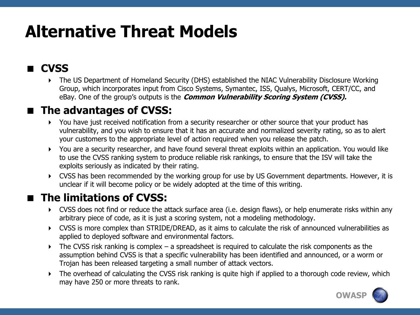#### **CVSS**

 The US Department of Homeland Security (DHS) established the NIAC Vulnerability Disclosure Working Group, which incorporates input from Cisco Systems, Symantec, ISS, Qualys, Microsoft, CERT/CC, and eBay. One of the group's outputs is the **Common Vulnerability Scoring System (CVSS).**

#### $\blacksquare$  The advantages of CVSS:

- You have just received notification from a security researcher or other source that your product has vulnerability, and you wish to ensure that it has an accurate and normalized severity rating, so as to alert your customers to the appropriate level of action required when you release the patch.
- You are a security researcher, and have found several threat exploits within an application. You would like to use the CVSS ranking system to produce reliable risk rankings, to ensure that the ISV will take the exploits seriously as indicated by their rating.
- CVSS has been recommended by the working group for use by US Government departments. However, it is unclear if it will become policy or be widely adopted at the time of this writing.

#### **The limitations of CVSS:**

- CVSS does not find or reduce the attack surface area (i.e. design flaws), or help enumerate risks within any arbitrary piece of code, as it is just a scoring system, not a modeling methodology.
- CVSS is more complex than STRIDE/DREAD, as it aims to calculate the risk of announced vulnerabilities as applied to deployed software and environmental factors.
- $\triangleright$  The CVSS risk ranking is complex a spreadsheet is required to calculate the risk components as the assumption behind CVSS is that a specific vulnerability has been identified and announced, or a worm or Trojan has been released targeting a small number of attack vectors.
- The overhead of calculating the CVSS risk ranking is quite high if applied to a thorough code review, which may have 250 or more threats to rank.

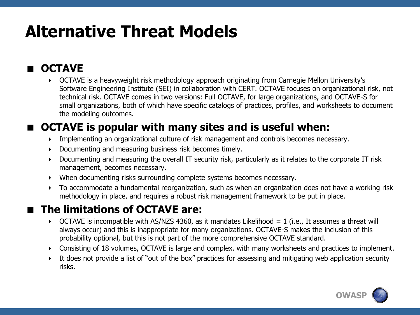#### **OCTAVE**

 OCTAVE is a heavyweight risk methodology approach originating from Carnegie Mellon University's Software Engineering Institute (SEI) in collaboration with CERT. OCTAVE focuses on organizational risk, not technical risk. OCTAVE comes in two versions: Full OCTAVE, for large organizations, and OCTAVE-S for small organizations, both of which have specific catalogs of practices, profiles, and worksheets to document the modeling outcomes.

#### **OCTAVE is popular with many sites and is useful when:**

- Implementing an organizational culture of risk management and controls becomes necessary.
- Documenting and measuring business risk becomes timely.
- Documenting and measuring the overall IT security risk, particularly as it relates to the corporate IT risk management, becomes necessary.
- When documenting risks surrounding complete systems becomes necessary.
- To accommodate a fundamental reorganization, such as when an organization does not have a working risk methodology in place, and requires a robust risk management framework to be put in place.

#### **The limitations of OCTAVE are:**

- $\triangleright$  OCTAVE is incompatible with AS/NZS 4360, as it mandates Likelihood = 1 (i.e., It assumes a threat will always occur) and this is inappropriate for many organizations. OCTAVE-S makes the inclusion of this probability optional, but this is not part of the more comprehensive OCTAVE standard.
- Consisting of 18 volumes, OCTAVE is large and complex, with many worksheets and practices to implement.
- It does not provide a list of "out of the box" practices for assessing and mitigating web application security risks.

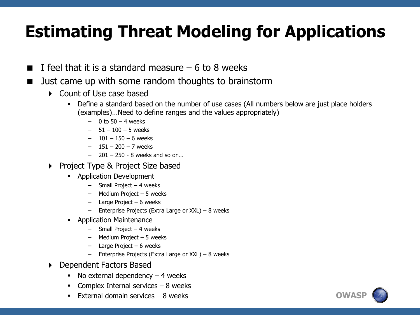#### **Estimating Threat Modeling for Applications**

- I feel that it is a standard measure  $-6$  to 8 weeks
- Just came up with some random thoughts to brainstorm
	- Count of Use case based
		- Define a standard based on the number of use cases (All numbers below are just place holders (examples)…Need to define ranges and the values appropriately)
			- $-$  0 to 50  $-$  4 weeks
			- 51 100 5 weeks
			- $101 150 6$  weeks
			- 151 200 7 weeks
			- 201 250 8 weeks and so on…
	- ▶ Project Type & Project Size based
		- **Application Development** 
			- Small Project 4 weeks
			- Medium Project 5 weeks
			- Large Project 6 weeks
			- Enterprise Projects (Extra Large or XXL) 8 weeks
		- Application Maintenance
			- Small Project 4 weeks
			- Medium Project 5 weeks
			- Large Project 6 weeks
			- Enterprise Projects (Extra Large or XXL) 8 weeks
	- Dependent Factors Based
		- No external dependency  $-4$  weeks
		- Complex Internal services  $-8$  weeks
		- External domain services 8 weeks

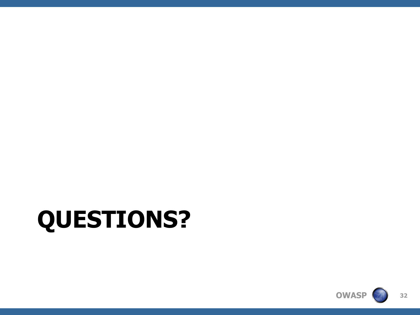

# **QUESTIONS?**